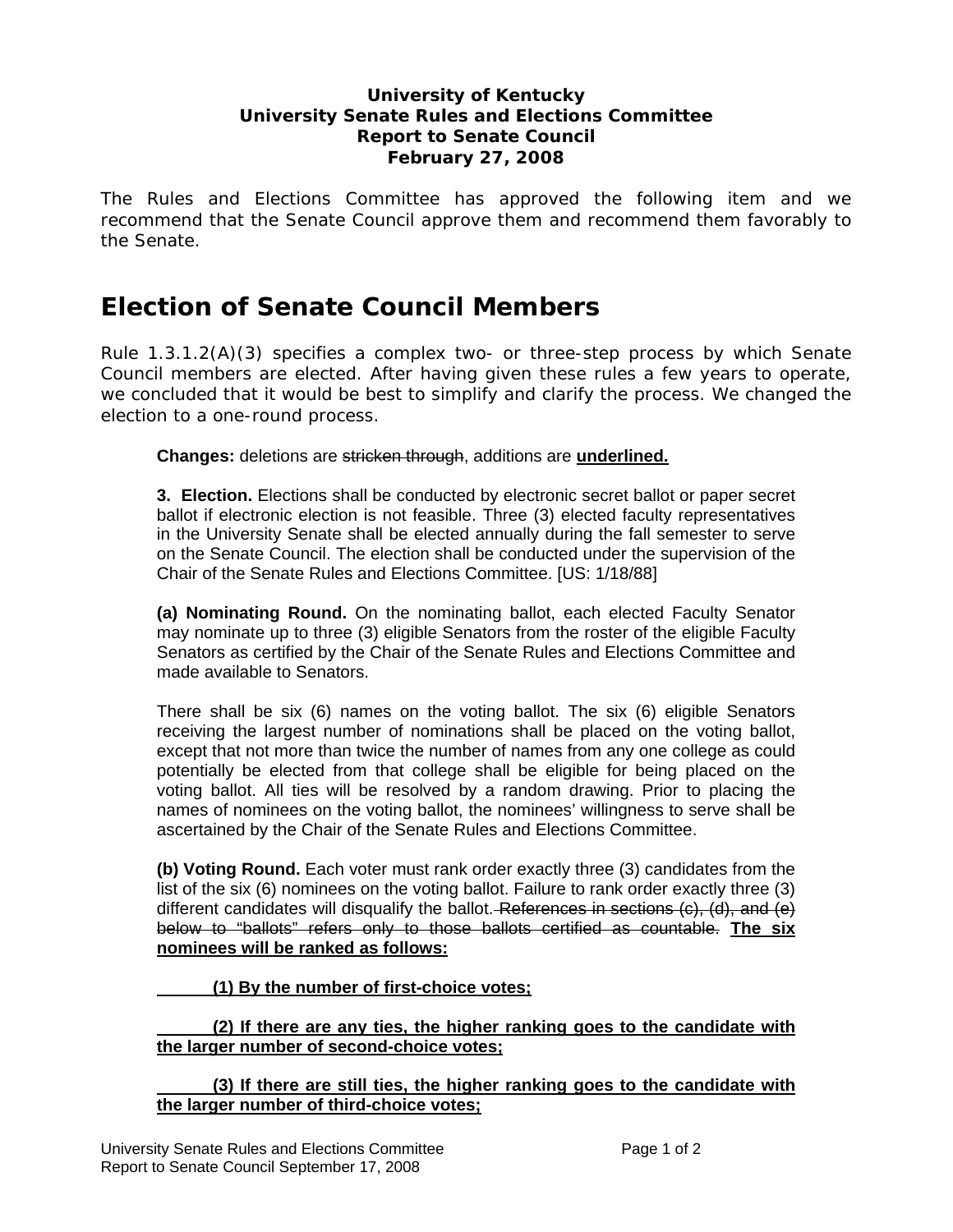## **University of Kentucky University Senate Rules and Elections Committee Report to Senate Council February 27, 2008**

The Rules and Elections Committee has approved the following item and we recommend that the Senate Council approve them and recommend them favorably to the Senate.

# **Election of Senate Council Members**

Rule 1.3.1.2(A)(3) specifies a complex two- or three-step process by which Senate Council members are elected. After having given these rules a few years to operate, we concluded that it would be best to simplify and clarify the process. We changed the election to a one-round process.

**Changes:** deletions are stricken through, additions are **underlined.**

**3. Election.** Elections shall be conducted by electronic secret ballot or paper secret ballot if electronic election is not feasible. Three (3) elected faculty representatives in the University Senate shall be elected annually during the fall semester to serve on the Senate Council. The election shall be conducted under the supervision of the Chair of the Senate Rules and Elections Committee. [US: 1/18/88]

**(a) Nominating Round.** On the nominating ballot, each elected Faculty Senator may nominate up to three (3) eligible Senators from the roster of the eligible Faculty Senators as certified by the Chair of the Senate Rules and Elections Committee and made available to Senators.

There shall be six (6) names on the voting ballot. The six (6) eligible Senators receiving the largest number of nominations shall be placed on the voting ballot, except that not more than twice the number of names from any one college as could potentially be elected from that college shall be eligible for being placed on the voting ballot. All ties will be resolved by a random drawing. Prior to placing the names of nominees on the voting ballot, the nominees' willingness to serve shall be ascertained by the Chair of the Senate Rules and Elections Committee.

**(b) Voting Round.** Each voter must rank order exactly three (3) candidates from the list of the six (6) nominees on the voting ballot. Failure to rank order exactly three (3) different candidates will disqualify the ballot. References in sections  $(c)$ ,  $(d)$ , and  $(e)$ below to "ballots" refers only to those ballots certified as countable. **The six nominees will be ranked as follows:**

 **(1) By the number of first-choice votes;**

## **(2) If there are any ties, the higher ranking goes to the candidate with the larger number of second-choice votes;**

 **(3) If there are still ties, the higher ranking goes to the candidate with the larger number of third-choice votes;**